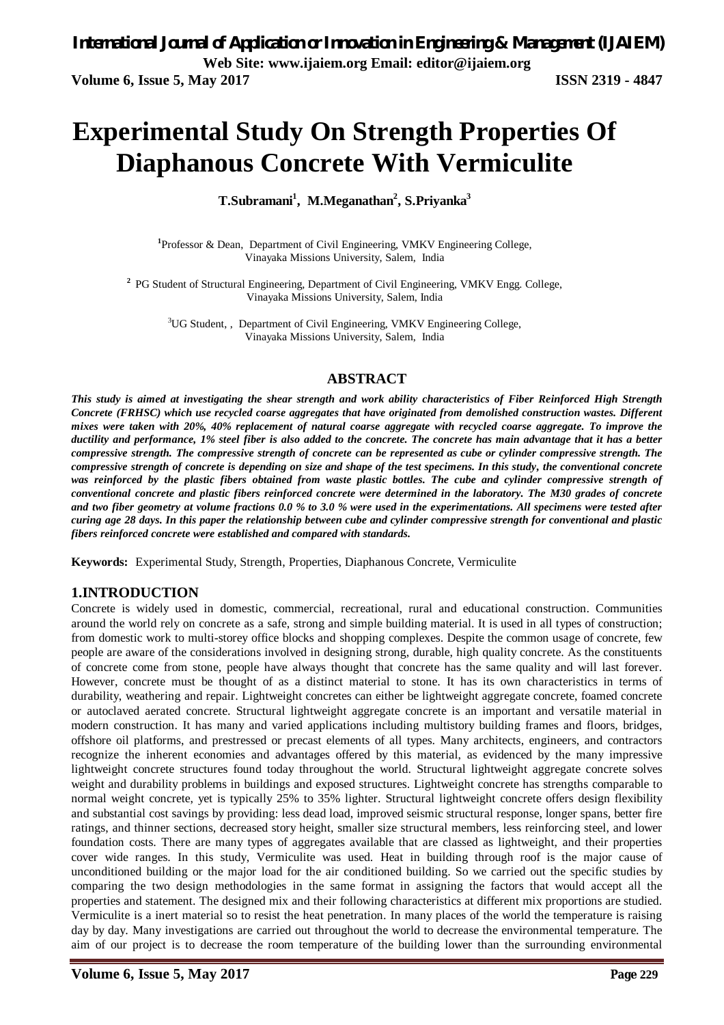# **Experimental Study On Strength Properties Of Diaphanous Concrete With Vermiculite**

**T.Subramani<sup>1</sup> , M.Meganathan<sup>2</sup> , S.Priyanka<sup>3</sup>**

<sup>1</sup>Professor & Dean, Department of Civil Engineering, VMKV Engineering College, Vinayaka Missions University, Salem, India

<sup>2</sup> PG Student of Structural Engineering, Department of Civil Engineering, VMKV Engg. College, Vinayaka Missions University, Salem, India

<sup>3</sup>UG Student,, Department of Civil Engineering, VMKV Engineering College, Vinayaka Missions University, Salem, India

#### **ABSTRACT**

*This study is aimed at investigating the shear strength and work ability characteristics of Fiber Reinforced High Strength Concrete (FRHSC) which use recycled coarse aggregates that have originated from demolished construction wastes. Different mixes were taken with 20%, 40% replacement of natural coarse aggregate with recycled coarse aggregate. To improve the ductility and performance, 1% steel fiber is also added to the concrete. The concrete has main advantage that it has a better compressive strength. The compressive strength of concrete can be represented as cube or cylinder compressive strength. The compressive strength of concrete is depending on size and shape of the test specimens. In this study, the conventional concrete was reinforced by the plastic fibers obtained from waste plastic bottles. The cube and cylinder compressive strength of conventional concrete and plastic fibers reinforced concrete were determined in the laboratory. The M30 grades of concrete and two fiber geometry at volume fractions 0.0 % to 3.0 % were used in the experimentations. All specimens were tested after curing age 28 days. In this paper the relationship between cube and cylinder compressive strength for conventional and plastic fibers reinforced concrete were established and compared with standards.* 

**Keywords:** Experimental Study, Strength, Properties, Diaphanous Concrete, Vermiculite

### **1.INTRODUCTION**

Concrete is widely used in domestic, commercial, recreational, rural and educational construction. Communities around the world rely on concrete as a safe, strong and simple building material. It is used in all types of construction; from domestic work to multi-storey office blocks and shopping complexes. Despite the common usage of concrete, few people are aware of the considerations involved in designing strong, durable, high quality concrete. As the constituents of concrete come from stone, people have always thought that concrete has the same quality and will last forever. However, concrete must be thought of as a distinct material to stone. It has its own characteristics in terms of durability, weathering and repair. Lightweight concretes can either be lightweight aggregate concrete, foamed concrete or autoclaved aerated concrete. Structural lightweight aggregate concrete is an important and versatile material in modern construction. It has many and varied applications including multistory building frames and floors, bridges, offshore oil platforms, and prestressed or precast elements of all types. Many architects, engineers, and contractors recognize the inherent economies and advantages offered by this material, as evidenced by the many impressive lightweight concrete structures found today throughout the world. Structural lightweight aggregate concrete solves weight and durability problems in buildings and exposed structures. Lightweight concrete has strengths comparable to normal weight concrete, yet is typically 25% to 35% lighter. Structural lightweight concrete offers design flexibility and substantial cost savings by providing: less dead load, improved seismic structural response, longer spans, better fire ratings, and thinner sections, decreased story height, smaller size structural members, less reinforcing steel, and lower foundation costs. There are many types of aggregates available that are classed as lightweight, and their properties cover wide ranges. In this study, Vermiculite was used. Heat in building through roof is the major cause of unconditioned building or the major load for the air conditioned building. So we carried out the specific studies by comparing the two design methodologies in the same format in assigning the factors that would accept all the properties and statement. The designed mix and their following characteristics at different mix proportions are studied. Vermiculite is a inert material so to resist the heat penetration. In many places of the world the temperature is raising day by day. Many investigations are carried out throughout the world to decrease the environmental temperature. The aim of our project is to decrease the room temperature of the building lower than the surrounding environmental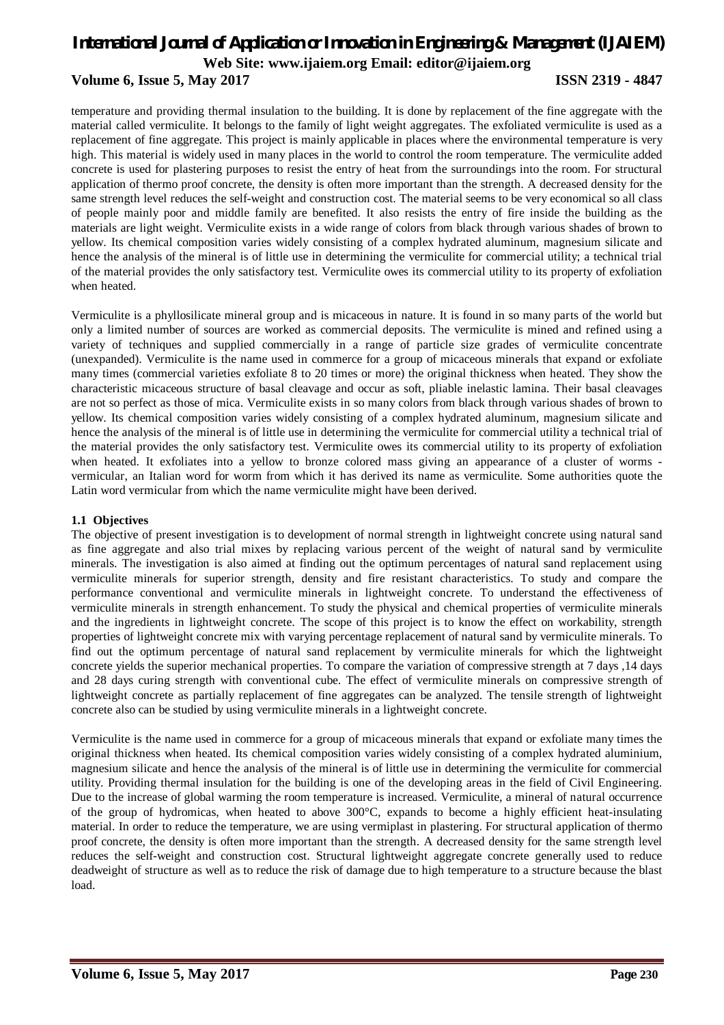#### **Volume 6, Issue 5, May 2017 ISSN 2319 - 4847**

temperature and providing thermal insulation to the building. It is done by replacement of the fine aggregate with the material called vermiculite. It belongs to the family of light weight aggregates. The exfoliated vermiculite is used as a replacement of fine aggregate. This project is mainly applicable in places where the environmental temperature is very high. This material is widely used in many places in the world to control the room temperature. The vermiculite added concrete is used for plastering purposes to resist the entry of heat from the surroundings into the room. For structural application of thermo proof concrete, the density is often more important than the strength. A decreased density for the same strength level reduces the self-weight and construction cost. The material seems to be very economical so all class of people mainly poor and middle family are benefited. It also resists the entry of fire inside the building as the materials are light weight. Vermiculite exists in a wide range of colors from black through various shades of brown to yellow. Its chemical composition varies widely consisting of a complex hydrated aluminum, magnesium silicate and hence the analysis of the mineral is of little use in determining the vermiculite for commercial utility; a technical trial of the material provides the only satisfactory test. Vermiculite owes its commercial utility to its property of exfoliation when heated.

Vermiculite is a phyllosilicate mineral group and is micaceous in nature. It is found in so many parts of the world but only a limited number of sources are worked as commercial deposits. The vermiculite is mined and refined using a variety of techniques and supplied commercially in a range of particle size grades of vermiculite concentrate (unexpanded). Vermiculite is the name used in commerce for a group of micaceous minerals that expand or exfoliate many times (commercial varieties exfoliate 8 to 20 times or more) the original thickness when heated. They show the characteristic micaceous structure of basal cleavage and occur as soft, pliable inelastic lamina. Their basal cleavages are not so perfect as those of mica. Vermiculite exists in so many colors from black through various shades of brown to yellow. Its chemical composition varies widely consisting of a complex hydrated aluminum, magnesium silicate and hence the analysis of the mineral is of little use in determining the vermiculite for commercial utility a technical trial of the material provides the only satisfactory test. Vermiculite owes its commercial utility to its property of exfoliation when heated. It exfoliates into a yellow to bronze colored mass giving an appearance of a cluster of worms vermicular, an Italian word for worm from which it has derived its name as vermiculite. Some authorities quote the Latin word vermicular from which the name vermiculite might have been derived.

#### **1.1 Objectives**

The objective of present investigation is to development of normal strength in lightweight concrete using natural sand as fine aggregate and also trial mixes by replacing various percent of the weight of natural sand by vermiculite minerals. The investigation is also aimed at finding out the optimum percentages of natural sand replacement using vermiculite minerals for superior strength, density and fire resistant characteristics. To study and compare the performance conventional and vermiculite minerals in lightweight concrete. To understand the effectiveness of vermiculite minerals in strength enhancement. To study the physical and chemical properties of vermiculite minerals and the ingredients in lightweight concrete. The scope of this project is to know the effect on workability, strength properties of lightweight concrete mix with varying percentage replacement of natural sand by vermiculite minerals. To find out the optimum percentage of natural sand replacement by vermiculite minerals for which the lightweight concrete yields the superior mechanical properties. To compare the variation of compressive strength at 7 days ,14 days and 28 days curing strength with conventional cube. The effect of vermiculite minerals on compressive strength of lightweight concrete as partially replacement of fine aggregates can be analyzed. The tensile strength of lightweight concrete also can be studied by using vermiculite minerals in a lightweight concrete.

Vermiculite is the name used in commerce for a group of micaceous minerals that expand or exfoliate many times the original thickness when heated. Its chemical composition varies widely consisting of a complex hydrated aluminium, magnesium silicate and hence the analysis of the mineral is of little use in determining the vermiculite for commercial utility. Providing thermal insulation for the building is one of the developing areas in the field of Civil Engineering. Due to the increase of global warming the room temperature is increased. Vermiculite, a mineral of natural occurrence of the group of hydromicas, when heated to above 300°C, expands to become a highly efficient heat-insulating material. In order to reduce the temperature, we are using vermiplast in plastering. For structural application of thermo proof concrete, the density is often more important than the strength. A decreased density for the same strength level reduces the self-weight and construction cost. Structural lightweight aggregate concrete generally used to reduce deadweight of structure as well as to reduce the risk of damage due to high temperature to a structure because the blast load.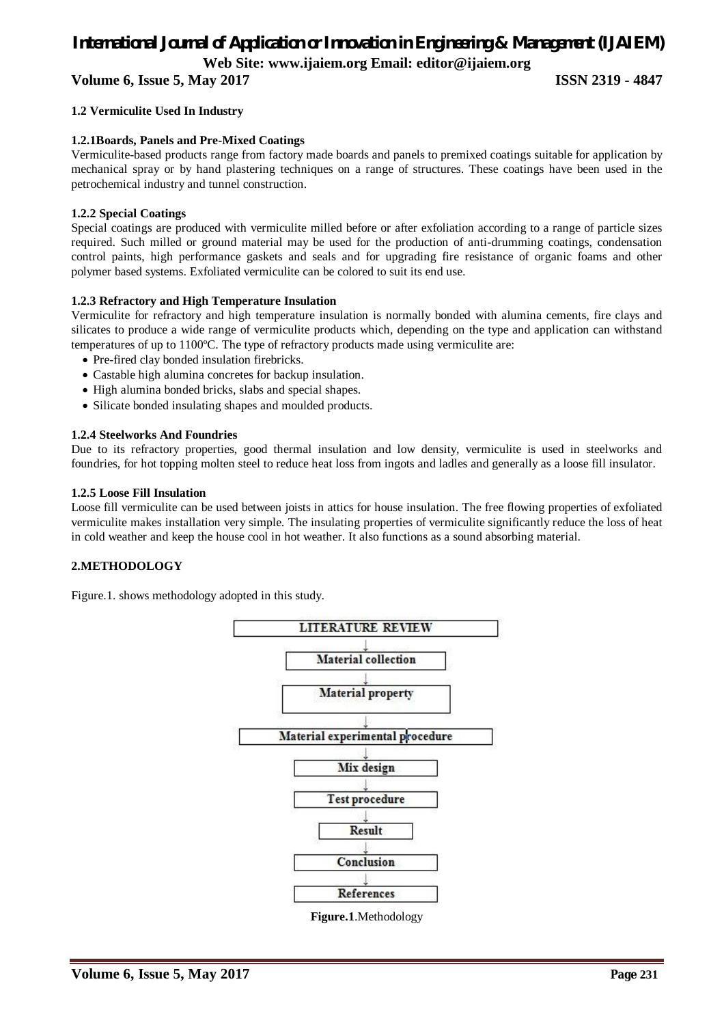**Volume 6, Issue 5, May 2017 ISSN 2319 - 4847**

#### **1.2 Vermiculite Used In Industry**

#### **1.2.1Boards, Panels and Pre-Mixed Coatings**

Vermiculite-based products range from factory made boards and panels to premixed coatings suitable for application by mechanical spray or by hand plastering techniques on a range of structures. These coatings have been used in the petrochemical industry and tunnel construction.

#### **1.2.2 Special Coatings**

Special coatings are produced with vermiculite milled before or after exfoliation according to a range of particle sizes required. Such milled or ground material may be used for the production of anti-drumming coatings, condensation control paints, high performance gaskets and seals and for upgrading fire resistance of organic foams and other polymer based systems. Exfoliated vermiculite can be colored to suit its end use.

#### **1.2.3 Refractory and High Temperature Insulation**

Vermiculite for refractory and high temperature insulation is normally bonded with alumina cements, fire clays and silicates to produce a wide range of vermiculite products which, depending on the type and application can withstand temperatures of up to 1100ºC. The type of refractory products made using vermiculite are:

- Pre-fired clay bonded insulation firebricks.
- Castable high alumina concretes for backup insulation.
- High alumina bonded bricks, slabs and special shapes.
- Silicate bonded insulating shapes and moulded products.

#### **1.2.4 Steelworks And Foundries**

Due to its refractory properties, good thermal insulation and low density, vermiculite is used in steelworks and foundries, for hot topping molten steel to reduce heat loss from ingots and ladles and generally as a loose fill insulator.

#### **1.2.5 Loose Fill Insulation**

Loose fill vermiculite can be used between joists in attics for house insulation. The free flowing properties of exfoliated vermiculite makes installation very simple. The insulating properties of vermiculite significantly reduce the loss of heat in cold weather and keep the house cool in hot weather. It also functions as a sound absorbing material.

#### **2.METHODOLOGY**

Figure.1. shows methodology adopted in this study.



**Figure.1**.Methodology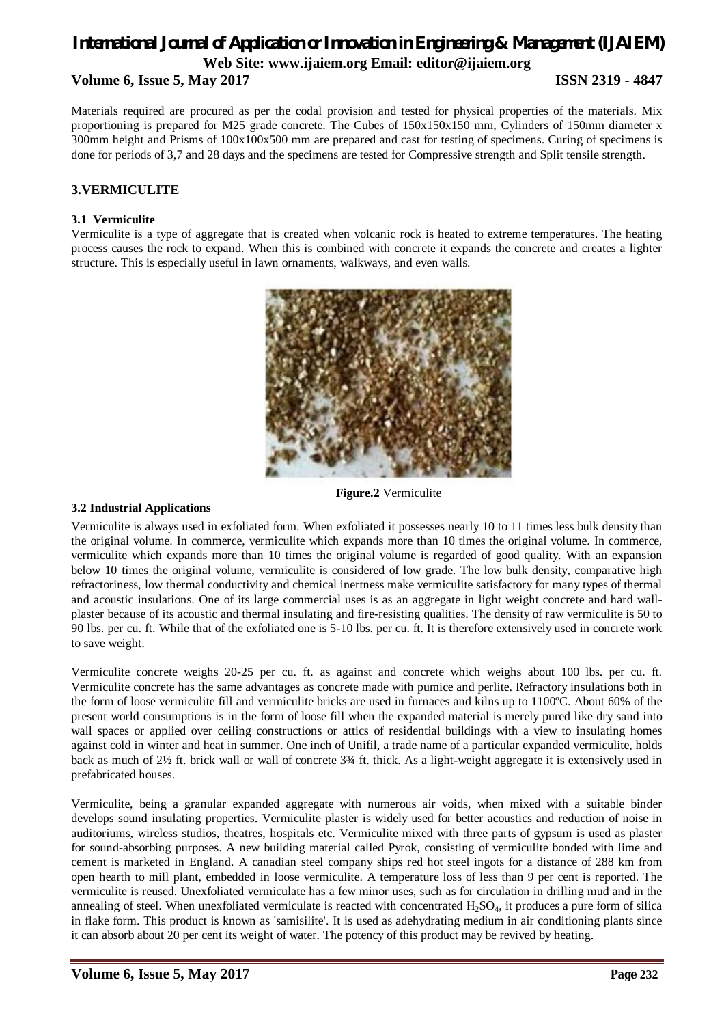# *International Journal of Application or Innovation in Engineering & Management (IJAIEM)* **Web Site: www.ijaiem.org Email: editor@ijaiem.org Volume 6, Issue 5, May 2017 ISSN 2319 - 4847**

Materials required are procured as per the codal provision and tested for physical properties of the materials. Mix proportioning is prepared for M25 grade concrete. The Cubes of 150x150x150 mm, Cylinders of 150mm diameter x 300mm height and Prisms of 100x100x500 mm are prepared and cast for testing of specimens. Curing of specimens is done for periods of 3,7 and 28 days and the specimens are tested for Compressive strength and Split tensile strength.

#### **3.VERMICULITE**

#### **3.1 Vermiculite**

Vermiculite is a type of aggregate that is created when volcanic rock is heated to extreme temperatures. The heating process causes the rock to expand. When this is combined with concrete it expands the concrete and creates a lighter structure. This is especially useful in lawn ornaments, walkways, and even walls.



**Figure.2** Vermiculite

#### **3.2 Industrial Applications**

Vermiculite is always used in exfoliated form. When exfoliated it possesses nearly 10 to 11 times less bulk density than the original volume. In commerce, vermiculite which expands more than 10 times the original volume. In commerce, vermiculite which expands more than 10 times the original volume is regarded of good quality. With an expansion below 10 times the original volume, vermiculite is considered of low grade. The low bulk density, comparative high refractoriness, low thermal conductivity and chemical inertness make vermiculite satisfactory for many types of thermal and acoustic insulations. One of its large commercial uses is as an aggregate in light weight concrete and hard wallplaster because of its acoustic and thermal insulating and fire-resisting qualities. The density of raw vermiculite is 50 to 90 lbs. per cu. ft. While that of the exfoliated one is 5-10 lbs. per cu. ft. It is therefore extensively used in concrete work to save weight.

Vermiculite concrete weighs 20-25 per cu. ft. as against and concrete which weighs about 100 lbs. per cu. ft. Vermiculite concrete has the same advantages as concrete made with pumice and perlite. Refractory insulations both in the form of loose vermiculite fill and vermiculite bricks are used in furnaces and kilns up to 1100ºC. About 60% of the present world consumptions is in the form of loose fill when the expanded material is merely pured like dry sand into wall spaces or applied over ceiling constructions or attics of residential buildings with a view to insulating homes against cold in winter and heat in summer. One inch of Unifil, a trade name of a particular expanded vermiculite, holds back as much of 2½ ft. brick wall or wall of concrete 3¾ ft. thick. As a light-weight aggregate it is extensively used in prefabricated houses.

Vermiculite, being a granular expanded aggregate with numerous air voids, when mixed with a suitable binder develops sound insulating properties. Vermiculite plaster is widely used for better acoustics and reduction of noise in auditoriums, wireless studios, theatres, hospitals etc. Vermiculite mixed with three parts of gypsum is used as plaster for sound-absorbing purposes. A new building material called Pyrok, consisting of vermiculite bonded with lime and cement is marketed in England. A canadian steel company ships red hot steel ingots for a distance of 288 km from open hearth to mill plant, embedded in loose vermiculite. A temperature loss of less than 9 per cent is reported. The vermiculite is reused. Unexfoliated vermiculate has a few minor uses, such as for circulation in drilling mud and in the annealing of steel. When unexfoliated vermiculate is reacted with concentrated  $H_2SO_4$ , it produces a pure form of silica in flake form. This product is known as 'samisilite'. It is used as adehydrating medium in air conditioning plants since it can absorb about 20 per cent its weight of water. The potency of this product may be revived by heating.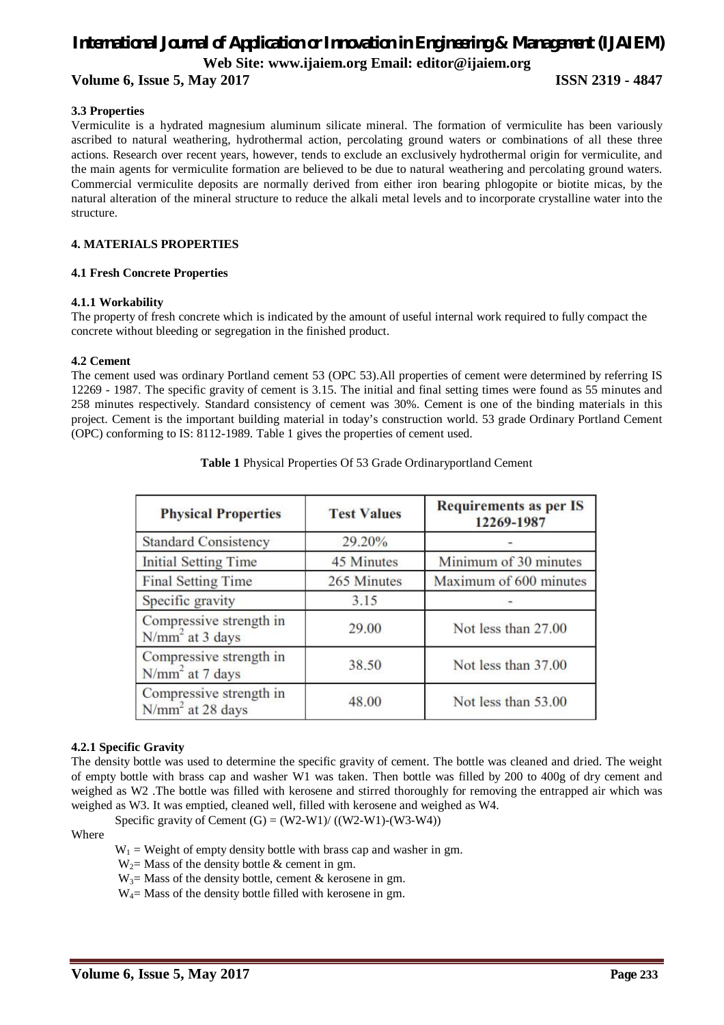**Volume 6, Issue 5, May 2017 ISSN 2319 - 4847**

#### **3.3 Properties**

Vermiculite is a hydrated magnesium aluminum silicate mineral. The formation of vermiculite has been variously ascribed to natural weathering, hydrothermal action, percolating ground waters or combinations of all these three actions. Research over recent years, however, tends to exclude an exclusively hydrothermal origin for vermiculite, and the main agents for vermiculite formation are believed to be due to natural weathering and percolating ground waters. Commercial vermiculite deposits are normally derived from either iron bearing phlogopite or biotite micas, by the natural alteration of the mineral structure to reduce the alkali metal levels and to incorporate crystalline water into the structure.

#### **4. MATERIALS PROPERTIES**

#### **4.1 Fresh Concrete Properties**

#### **4.1.1 Workability**

The property of fresh concrete which is indicated by the amount of useful internal work required to fully compact the concrete without bleeding or segregation in the finished product.

#### **4.2 Cement**

The cement used was ordinary Portland cement 53 (OPC 53).All properties of cement were determined by referring IS 12269 - 1987. The specific gravity of cement is 3.15. The initial and final setting times were found as 55 minutes and 258 minutes respectively. Standard consistency of cement was 30%. Cement is one of the binding materials in this project. Cement is the important building material in today's construction world. 53 grade Ordinary Portland Cement (OPC) conforming to IS: 8112-1989. Table 1 gives the properties of cement used.

| <b>Physical Properties</b>                    | <b>Test Values</b> | <b>Requirements as per IS</b><br>12269-1987 |
|-----------------------------------------------|--------------------|---------------------------------------------|
| <b>Standard Consistency</b>                   | 29.20%             |                                             |
| <b>Initial Setting Time</b>                   | 45 Minutes         | Minimum of 30 minutes                       |
| <b>Final Setting Time</b>                     | 265 Minutes        | Maximum of 600 minutes                      |
| Specific gravity                              | 3.15               |                                             |
| Compressive strength in<br>$N/mm2$ at 3 days  | 29.00              | Not less than 27.00                         |
| Compressive strength in<br>$N/mm2$ at 7 days  | 38.50              | Not less than 37.00                         |
| Compressive strength in<br>$N/mm2$ at 28 days | 48.00              | Not less than 53.00                         |

**Table 1** Physical Properties Of 53 Grade Ordinaryportland Cement

#### **4.2.1 Specific Gravity**

The density bottle was used to determine the specific gravity of cement. The bottle was cleaned and dried. The weight of empty bottle with brass cap and washer W1 was taken. Then bottle was filled by 200 to 400g of dry cement and weighed as W2 .The bottle was filled with kerosene and stirred thoroughly for removing the entrapped air which was weighed as W3. It was emptied, cleaned well, filled with kerosene and weighed as W4.

Specific gravity of Cement  $(G) = (W2-W1)/(W2-W1)-(W3-W4)$ 

#### Where

 $W_1$  = Weight of empty density bottle with brass cap and washer in gm.

- $W_2$  Mass of the density bottle & cement in gm.
- $W_3$  Mass of the density bottle, cement & kerosene in gm.
- $W_4$ = Mass of the density bottle filled with kerosene in gm.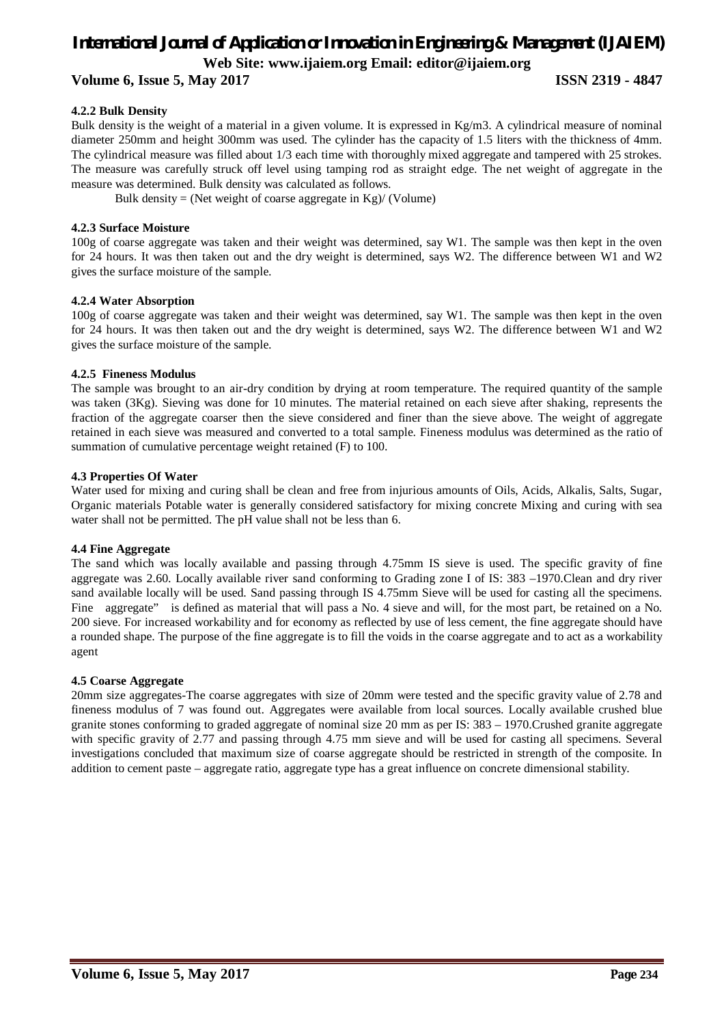#### **Volume 6, Issue 5, May 2017 ISSN 2319 - 4847**

#### **4.2.2 Bulk Density**

Bulk density is the weight of a material in a given volume. It is expressed in Kg/m3. A cylindrical measure of nominal diameter 250mm and height 300mm was used. The cylinder has the capacity of 1.5 liters with the thickness of 4mm. The cylindrical measure was filled about 1/3 each time with thoroughly mixed aggregate and tampered with 25 strokes. The measure was carefully struck off level using tamping rod as straight edge. The net weight of aggregate in the measure was determined. Bulk density was calculated as follows.

Bulk density = (Net weight of coarse aggregate in Kg)/ (Volume)

#### **4.2.3 Surface Moisture**

100g of coarse aggregate was taken and their weight was determined, say W1. The sample was then kept in the oven for 24 hours. It was then taken out and the dry weight is determined, says W2. The difference between W1 and W2 gives the surface moisture of the sample.

#### **4.2.4 Water Absorption**

100g of coarse aggregate was taken and their weight was determined, say W1. The sample was then kept in the oven for 24 hours. It was then taken out and the dry weight is determined, says W2. The difference between W1 and W2 gives the surface moisture of the sample.

#### **4.2.5 Fineness Modulus**

The sample was brought to an air-dry condition by drying at room temperature. The required quantity of the sample was taken (3Kg). Sieving was done for 10 minutes. The material retained on each sieve after shaking, represents the fraction of the aggregate coarser then the sieve considered and finer than the sieve above. The weight of aggregate retained in each sieve was measured and converted to a total sample. Fineness modulus was determined as the ratio of summation of cumulative percentage weight retained (F) to 100.

#### **4.3 Properties Of Water**

Water used for mixing and curing shall be clean and free from injurious amounts of Oils, Acids, Alkalis, Salts, Sugar, Organic materials Potable water is generally considered satisfactory for mixing concrete Mixing and curing with sea water shall not be permitted. The pH value shall not be less than 6.

#### **4.4 Fine Aggregate**

The sand which was locally available and passing through 4.75mm IS sieve is used. The specific gravity of fine aggregate was 2.60. Locally available river sand conforming to Grading zone I of IS: 383 –1970.Clean and dry river sand available locally will be used. Sand passing through IS 4.75mm Sieve will be used for casting all the specimens. Fine aggregate" is defined as material that will pass a No. 4 sieve and will, for the most part, be retained on a No. 200 sieve. For increased workability and for economy as reflected by use of less cement, the fine aggregate should have a rounded shape. The purpose of the fine aggregate is to fill the voids in the coarse aggregate and to act as a workability agent

#### **4.5 Coarse Aggregate**

20mm size aggregates-The coarse aggregates with size of 20mm were tested and the specific gravity value of 2.78 and fineness modulus of 7 was found out. Aggregates were available from local sources. Locally available crushed blue granite stones conforming to graded aggregate of nominal size 20 mm as per IS: 383 – 1970.Crushed granite aggregate with specific gravity of 2.77 and passing through 4.75 mm sieve and will be used for casting all specimens. Several investigations concluded that maximum size of coarse aggregate should be restricted in strength of the composite. In addition to cement paste – aggregate ratio, aggregate type has a great influence on concrete dimensional stability.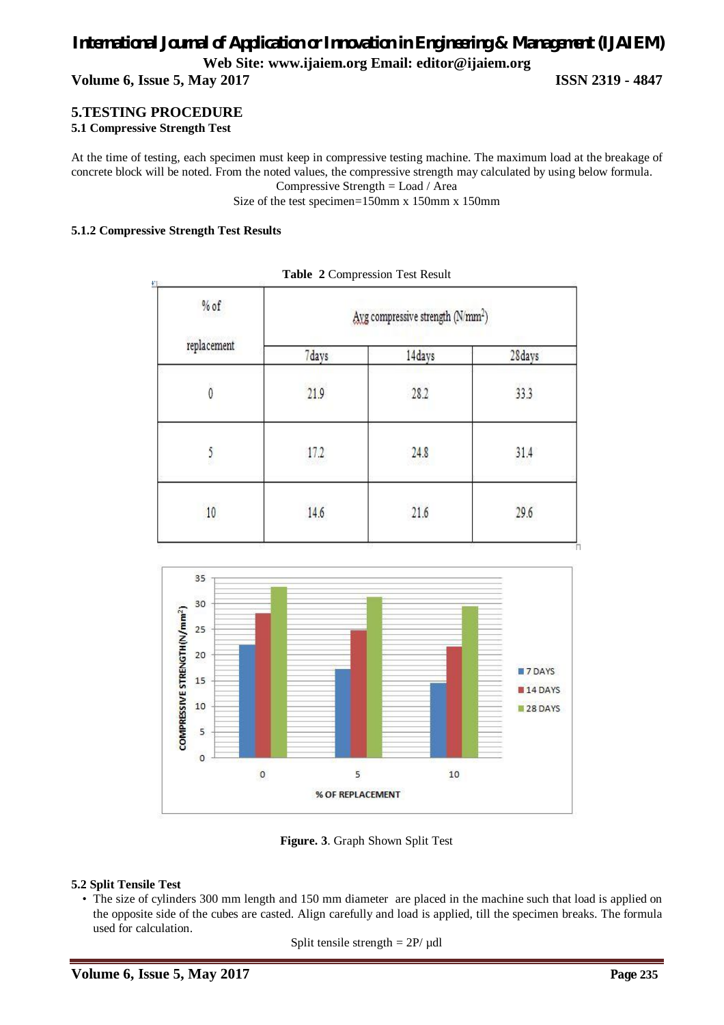**Volume 6, Issue 5, May 2017 ISSN 2319 - 4847**

#### **5.TESTING PROCEDURE**

#### **5.1 Compressive Strength Test**

At the time of testing, each specimen must keep in compressive testing machine. The maximum load at the breakage of concrete block will be noted. From the noted values, the compressive strength may calculated by using below formula.

Compressive Strength = Load / Area

Size of the test specimen=150mm x 150mm x 150mm

#### **5.1.2 Compressive Strength Test Results**

| $%$ of<br>replacement | Ayg compressive strength (N/mm <sup>2</sup> ) |        |        |
|-----------------------|-----------------------------------------------|--------|--------|
|                       | 7days                                         | 14days | 28days |
| Ò                     | 21.9                                          | 28.2   | 33.3   |
| 5                     | 17.2                                          | 24.8   | 31.4   |
| 10                    | 14.6                                          | 21.6   | 29.6   |

**Table 2** Compression Test Result



**Figure. 3**. Graph Shown Split Test

#### **5.2 Split Tensile Test**

• The size of cylinders 300 mm length and 150 mm diameter are placed in the machine such that load is applied on the opposite side of the cubes are casted. Align carefully and load is applied, till the specimen breaks. The formula used for calculation.

Split tensile strength  $= 2P/\mu$ dl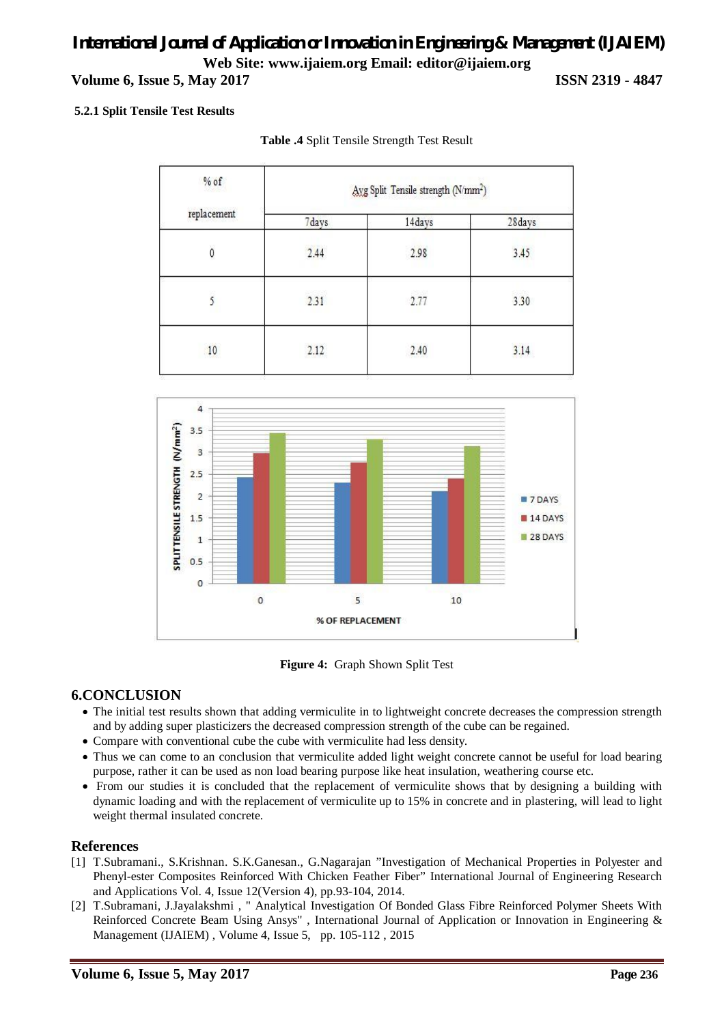# *International Journal of Application or Innovation in Engineering & Management (IJAIEM)* **Web Site: www.ijaiem.org Email: editor@ijaiem.org Volume 6, Issue 5, May 2017 ISSN 2319 - 4847**

#### **5.2.1 Split Tensile Test Results**

| $%$ of<br>replacement | Axg Split Tensile strength (N/mm <sup>2</sup> ) |               |              |  |
|-----------------------|-------------------------------------------------|---------------|--------------|--|
|                       | 7days                                           | 14days        | 28days       |  |
| 0                     | 2.44                                            | 2.98          | 3.45         |  |
|                       | 2060262<br>2.31                                 | -2930<br>2.77 | 6336<br>3.30 |  |
| 10                    | 2.12                                            | 2.40          | 3.14         |  |

#### **Table .4** Split Tensile Strength Test Result



**Figure 4:** Graph Shown Split Test

### **6.CONCLUSION**

- The initial test results shown that adding vermiculite in to lightweight concrete decreases the compression strength and by adding super plasticizers the decreased compression strength of the cube can be regained.
- Compare with conventional cube the cube with vermiculite had less density.
- Thus we can come to an conclusion that vermiculite added light weight concrete cannot be useful for load bearing purpose, rather it can be used as non load bearing purpose like heat insulation, weathering course etc.
- From our studies it is concluded that the replacement of vermiculite shows that by designing a building with dynamic loading and with the replacement of vermiculite up to 15% in concrete and in plastering, will lead to light weight thermal insulated concrete.

### **References**

- [1] T.Subramani., S.Krishnan. S.K.Ganesan., G.Nagarajan "Investigation of Mechanical Properties in Polyester and Phenyl-ester Composites Reinforced With Chicken Feather Fiber" International Journal of Engineering Research and Applications Vol. 4, Issue 12(Version 4), pp.93-104, 2014.
- [2] T.Subramani, J.Jayalakshmi , " Analytical Investigation Of Bonded Glass Fibre Reinforced Polymer Sheets With Reinforced Concrete Beam Using Ansys" , International Journal of Application or Innovation in Engineering & Management (IJAIEM) , Volume 4, Issue 5, pp. 105-112 , 2015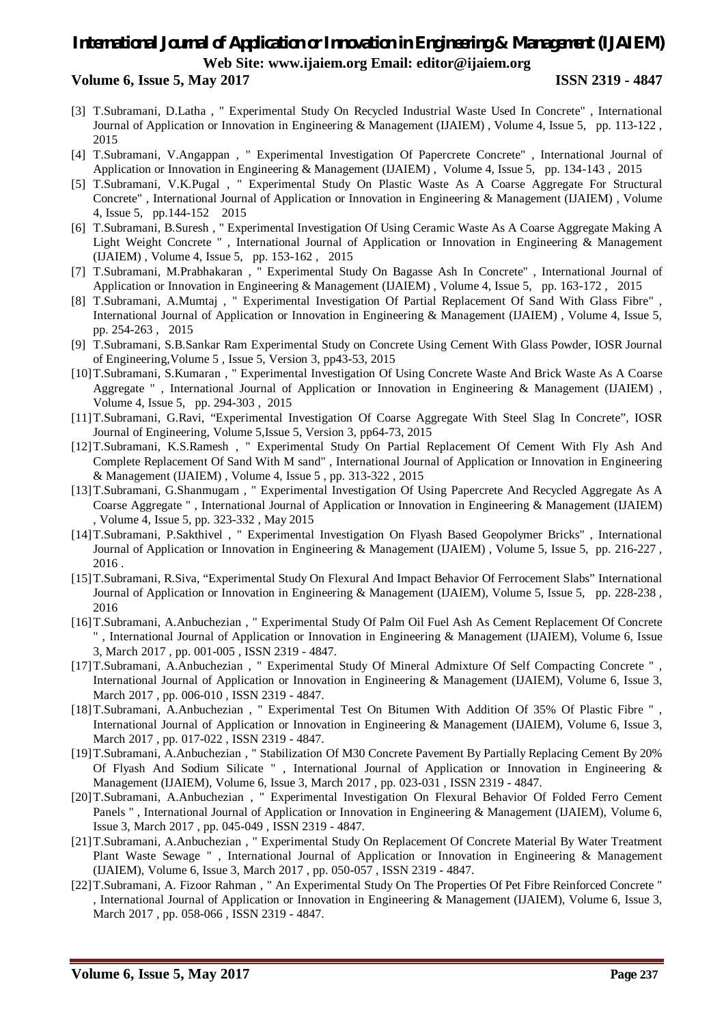#### **Volume 6, Issue 5, May 2017 ISSN 2319 - 4847**

- [3] T.Subramani, D.Latha , " Experimental Study On Recycled Industrial Waste Used In Concrete" , International Journal of Application or Innovation in Engineering & Management (IJAIEM) , Volume 4, Issue 5, pp. 113-122 , 2015
- [4] T.Subramani, V.Angappan , " Experimental Investigation Of Papercrete Concrete" , International Journal of Application or Innovation in Engineering & Management (IJAIEM) , Volume 4, Issue 5, pp. 134-143 , 2015
- [5] T.Subramani, V.K.Pugal , " Experimental Study On Plastic Waste As A Coarse Aggregate For Structural Concrete" , International Journal of Application or Innovation in Engineering & Management (IJAIEM) , Volume 4, Issue 5, pp.144-152 2015
- [6] T.Subramani, B.Suresh , " Experimental Investigation Of Using Ceramic Waste As A Coarse Aggregate Making A Light Weight Concrete " , International Journal of Application or Innovation in Engineering & Management (IJAIEM) , Volume 4, Issue 5, pp. 153-162 , 2015
- [7] T.Subramani, M.Prabhakaran , " Experimental Study On Bagasse Ash In Concrete" , International Journal of Application or Innovation in Engineering & Management (IJAIEM) , Volume 4, Issue 5, pp. 163-172 , 2015
- [8] T.Subramani, A.Mumtaj , " Experimental Investigation Of Partial Replacement Of Sand With Glass Fibre" , International Journal of Application or Innovation in Engineering & Management (IJAIEM) , Volume 4, Issue 5, pp. 254-263 , 2015
- [9] T.Subramani, S.B.Sankar Ram Experimental Study on Concrete Using Cement With Glass Powder, IOSR Journal of Engineering,Volume 5 , Issue 5, Version 3, pp43-53, 2015
- [10]T.Subramani, S.Kumaran , " Experimental Investigation Of Using Concrete Waste And Brick Waste As A Coarse Aggregate " , International Journal of Application or Innovation in Engineering & Management (IJAIEM) , Volume 4, Issue 5, pp. 294-303 , 2015
- [11]T.Subramani, G.Ravi, "Experimental Investigation Of Coarse Aggregate With Steel Slag In Concrete", IOSR Journal of Engineering, Volume 5,Issue 5, Version 3, pp64-73, 2015
- [12]T.Subramani, K.S.Ramesh , " Experimental Study On Partial Replacement Of Cement With Fly Ash And Complete Replacement Of Sand With M sand" , International Journal of Application or Innovation in Engineering & Management (IJAIEM) , Volume 4, Issue 5 , pp. 313-322 , 2015
- [13]T.Subramani, G.Shanmugam , " Experimental Investigation Of Using Papercrete And Recycled Aggregate As A Coarse Aggregate " , International Journal of Application or Innovation in Engineering & Management (IJAIEM) , Volume 4, Issue 5, pp. 323-332 , May 2015
- [14]T.Subramani, P.Sakthivel , " Experimental Investigation On Flyash Based Geopolymer Bricks" , International Journal of Application or Innovation in Engineering & Management (IJAIEM) , Volume 5, Issue 5, pp. 216-227 , 2016 .
- [15]T.Subramani, R.Siva, "Experimental Study On Flexural And Impact Behavior Of Ferrocement Slabs" International Journal of Application or Innovation in Engineering & Management (IJAIEM), Volume 5, Issue 5, pp. 228-238 , 2016
- [16]T.Subramani, A.Anbuchezian , " Experimental Study Of Palm Oil Fuel Ash As Cement Replacement Of Concrete " , International Journal of Application or Innovation in Engineering & Management (IJAIEM), Volume 6, Issue 3, March 2017 , pp. 001-005 , ISSN 2319 - 4847.
- [17]T.Subramani, A.Anbuchezian , " Experimental Study Of Mineral Admixture Of Self Compacting Concrete " , International Journal of Application or Innovation in Engineering & Management (IJAIEM), Volume 6, Issue 3, March 2017, pp. 006-010, ISSN 2319 - 4847.
- [18]T.Subramani, A.Anbuchezian , " Experimental Test On Bitumen With Addition Of 35% Of Plastic Fibre " , International Journal of Application or Innovation in Engineering & Management (IJAIEM), Volume 6, Issue 3, March 2017 , pp. 017-022 , ISSN 2319 - 4847.
- [19]T.Subramani, A.Anbuchezian , " Stabilization Of M30 Concrete Pavement By Partially Replacing Cement By 20% Of Flyash And Sodium Silicate " , International Journal of Application or Innovation in Engineering & Management (IJAIEM), Volume 6, Issue 3, March 2017 , pp. 023-031 , ISSN 2319 - 4847.
- [20]T.Subramani, A.Anbuchezian , " Experimental Investigation On Flexural Behavior Of Folded Ferro Cement Panels ", International Journal of Application or Innovation in Engineering & Management (IJAIEM), Volume 6, Issue 3, March 2017 , pp. 045-049 , ISSN 2319 - 4847.
- [21]T.Subramani, A.Anbuchezian , " Experimental Study On Replacement Of Concrete Material By Water Treatment Plant Waste Sewage " , International Journal of Application or Innovation in Engineering & Management (IJAIEM), Volume 6, Issue 3, March 2017 , pp. 050-057 , ISSN 2319 - 4847.
- [22]T.Subramani, A. Fizoor Rahman , " An Experimental Study On The Properties Of Pet Fibre Reinforced Concrete " , International Journal of Application or Innovation in Engineering & Management (IJAIEM), Volume 6, Issue 3, March 2017 , pp. 058-066 , ISSN 2319 - 4847.